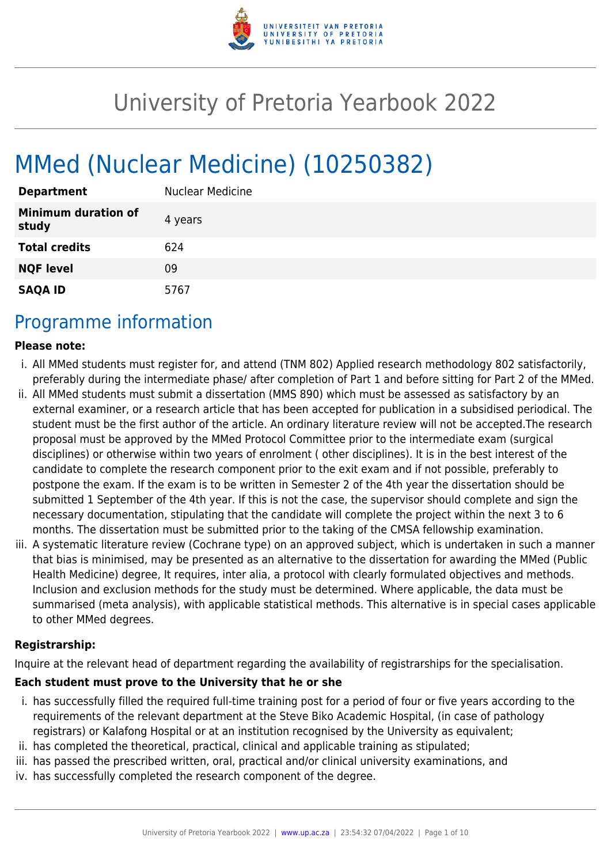

# University of Pretoria Yearbook 2022

# MMed (Nuclear Medicine) (10250382)

| <b>Department</b>                   | <b>Nuclear Medicine</b> |
|-------------------------------------|-------------------------|
| <b>Minimum duration of</b><br>study | 4 years                 |
| <b>Total credits</b>                | 624                     |
| <b>NQF level</b>                    | 09                      |
| <b>SAQA ID</b>                      | 5767                    |

## Programme information

#### **Please note:**

- i. All MMed students must register for, and attend (TNM 802) Applied research methodology 802 satisfactorily, preferably during the intermediate phase/ after completion of Part 1 and before sitting for Part 2 of the MMed.
- ii. All MMed students must submit a dissertation (MMS 890) which must be assessed as satisfactory by an external examiner, or a research article that has been accepted for publication in a subsidised periodical. The student must be the first author of the article. An ordinary literature review will not be accepted.The research proposal must be approved by the MMed Protocol Committee prior to the intermediate exam (surgical disciplines) or otherwise within two years of enrolment ( other disciplines). It is in the best interest of the candidate to complete the research component prior to the exit exam and if not possible, preferably to postpone the exam. If the exam is to be written in Semester 2 of the 4th year the dissertation should be submitted 1 September of the 4th year. If this is not the case, the supervisor should complete and sign the necessary documentation, stipulating that the candidate will complete the project within the next 3 to 6 months. The dissertation must be submitted prior to the taking of the CMSA fellowship examination.
- iii. A systematic literature review (Cochrane type) on an approved subject, which is undertaken in such a manner that bias is minimised, may be presented as an alternative to the dissertation for awarding the MMed (Public Health Medicine) degree, It requires, inter alia, a protocol with clearly formulated objectives and methods. Inclusion and exclusion methods for the study must be determined. Where applicable, the data must be summarised (meta analysis), with applicable statistical methods. This alternative is in special cases applicable to other MMed degrees.

#### **Registrarship:**

Inquire at the relevant head of department regarding the availability of registrarships for the specialisation.

#### **Each student must prove to the University that he or she**

- i. has successfully filled the required full-time training post for a period of four or five years according to the requirements of the relevant department at the Steve Biko Academic Hospital, (in case of pathology registrars) or Kalafong Hospital or at an institution recognised by the University as equivalent;
- ii. has completed the theoretical, practical, clinical and applicable training as stipulated;
- iii. has passed the prescribed written, oral, practical and/or clinical university examinations, and
- iv. has successfully completed the research component of the degree.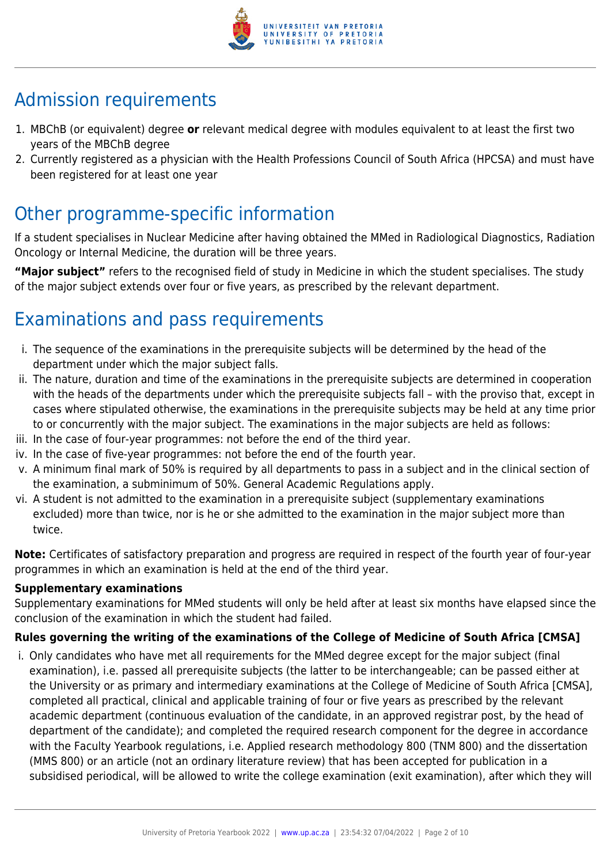

## Admission requirements

- 1. MBChB (or equivalent) degree **or** relevant medical degree with modules equivalent to at least the first two years of the MBChB degree
- 2. Currently registered as a physician with the Health Professions Council of South Africa (HPCSA) and must have been registered for at least one year

## Other programme-specific information

If a student specialises in Nuclear Medicine after having obtained the MMed in Radiological Diagnostics, Radiation Oncology or Internal Medicine, the duration will be three years.

**"Major subject"** refers to the recognised field of study in Medicine in which the student specialises. The study of the major subject extends over four or five years, as prescribed by the relevant department.

## Examinations and pass requirements

- i. The sequence of the examinations in the prerequisite subjects will be determined by the head of the department under which the major subject falls.
- ii. The nature, duration and time of the examinations in the prerequisite subjects are determined in cooperation with the heads of the departments under which the prerequisite subjects fall – with the proviso that, except in cases where stipulated otherwise, the examinations in the prerequisite subjects may be held at any time prior to or concurrently with the major subject. The examinations in the major subjects are held as follows:
- iii. In the case of four-year programmes: not before the end of the third year.
- iv. In the case of five-year programmes: not before the end of the fourth year.
- v. A minimum final mark of 50% is required by all departments to pass in a subject and in the clinical section of the examination, a subminimum of 50%. General Academic Regulations apply.
- vi. A student is not admitted to the examination in a prerequisite subject (supplementary examinations excluded) more than twice, nor is he or she admitted to the examination in the major subject more than twice.

**Note:** Certificates of satisfactory preparation and progress are required in respect of the fourth year of four-year programmes in which an examination is held at the end of the third year.

#### **Supplementary examinations**

Supplementary examinations for MMed students will only be held after at least six months have elapsed since the conclusion of the examination in which the student had failed.

#### **Rules governing the writing of the examinations of the College of Medicine of South Africa [CMSA]**

i. Only candidates who have met all requirements for the MMed degree except for the major subject (final examination), i.e. passed all prerequisite subjects (the latter to be interchangeable; can be passed either at the University or as primary and intermediary examinations at the College of Medicine of South Africa [CMSA], completed all practical, clinical and applicable training of four or five years as prescribed by the relevant academic department (continuous evaluation of the candidate, in an approved registrar post, by the head of department of the candidate); and completed the required research component for the degree in accordance with the Faculty Yearbook regulations, i.e. Applied research methodology 800 (TNM 800) and the dissertation (MMS 800) or an article (not an ordinary literature review) that has been accepted for publication in a subsidised periodical, will be allowed to write the college examination (exit examination), after which they will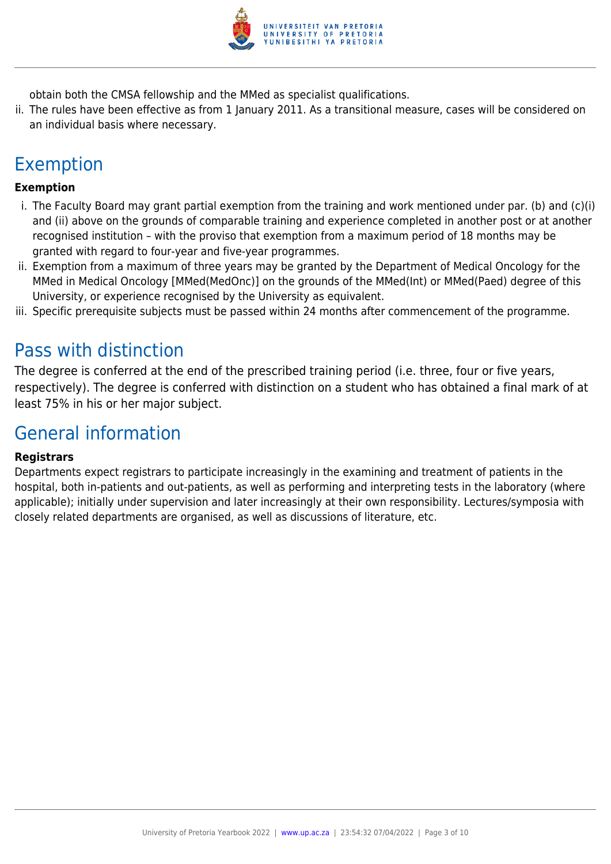

obtain both the CMSA fellowship and the MMed as specialist qualifications.

ii. The rules have been effective as from 1 January 2011. As a transitional measure, cases will be considered on an individual basis where necessary.

## Exemption

#### **Exemption**

- i. The Faculty Board may grant partial exemption from the training and work mentioned under par. (b) and (c)(i) and (ii) above on the grounds of comparable training and experience completed in another post or at another recognised institution – with the proviso that exemption from a maximum period of 18 months may be granted with regard to four-year and five-year programmes.
- ii. Exemption from a maximum of three years may be granted by the Department of Medical Oncology for the MMed in Medical Oncology [MMed(MedOnc)] on the grounds of the MMed(Int) or MMed(Paed) degree of this University, or experience recognised by the University as equivalent.
- iii. Specific prerequisite subjects must be passed within 24 months after commencement of the programme.

## Pass with distinction

The degree is conferred at the end of the prescribed training period (i.e. three, four or five years, respectively). The degree is conferred with distinction on a student who has obtained a final mark of at least 75% in his or her major subject.

## General information

#### **Registrars**

Departments expect registrars to participate increasingly in the examining and treatment of patients in the hospital, both in-patients and out-patients, as well as performing and interpreting tests in the laboratory (where applicable); initially under supervision and later increasingly at their own responsibility. Lectures/symposia with closely related departments are organised, as well as discussions of literature, etc.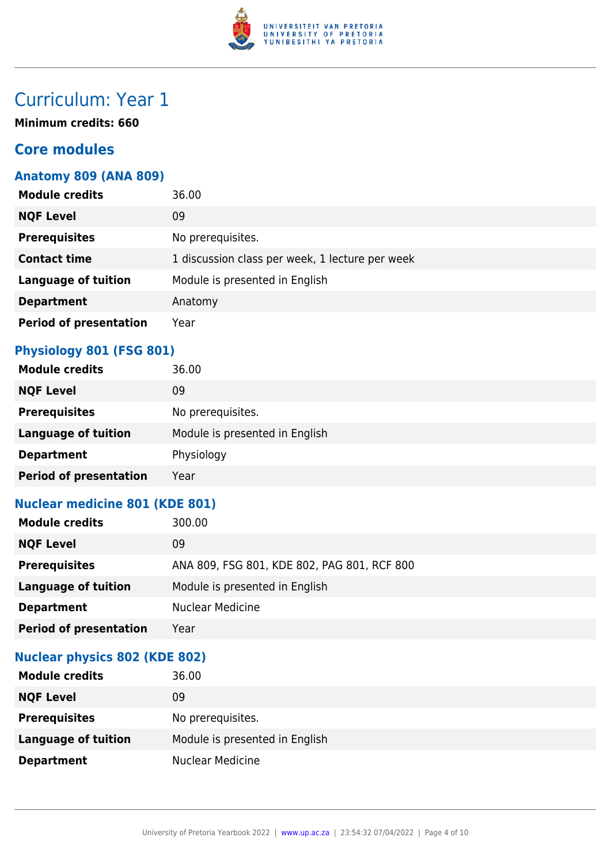

## Curriculum: Year 1

**Minimum credits: 660**

## **Core modules**

### **Anatomy 809 (ANA 809)**

| <b>Module credits</b>         | 36.00                                           |
|-------------------------------|-------------------------------------------------|
| <b>NQF Level</b>              | 09                                              |
| <b>Prerequisites</b>          | No prerequisites.                               |
| <b>Contact time</b>           | 1 discussion class per week, 1 lecture per week |
| <b>Language of tuition</b>    | Module is presented in English                  |
| <b>Department</b>             | Anatomy                                         |
| <b>Period of presentation</b> | Year                                            |

### **Physiology 801 (FSG 801)**

| <b>Module credits</b>         | 36.00                          |
|-------------------------------|--------------------------------|
| <b>NQF Level</b>              | 09                             |
| <b>Prerequisites</b>          | No prerequisites.              |
| <b>Language of tuition</b>    | Module is presented in English |
| <b>Department</b>             | Physiology                     |
| <b>Period of presentation</b> | Year                           |

### **Nuclear medicine 801 (KDE 801)**

| <b>Module credits</b>         | 300.00                                      |
|-------------------------------|---------------------------------------------|
| <b>NQF Level</b>              | 09                                          |
| <b>Prerequisites</b>          | ANA 809, FSG 801, KDE 802, PAG 801, RCF 800 |
| Language of tuition           | Module is presented in English              |
| <b>Department</b>             | <b>Nuclear Medicine</b>                     |
| <b>Period of presentation</b> | Year                                        |

#### **Nuclear physics 802 (KDE 802)**

| <b>Module credits</b>      | 36.00                          |
|----------------------------|--------------------------------|
| <b>NQF Level</b>           | 09                             |
| <b>Prerequisites</b>       | No prerequisites.              |
| <b>Language of tuition</b> | Module is presented in English |
| <b>Department</b>          | <b>Nuclear Medicine</b>        |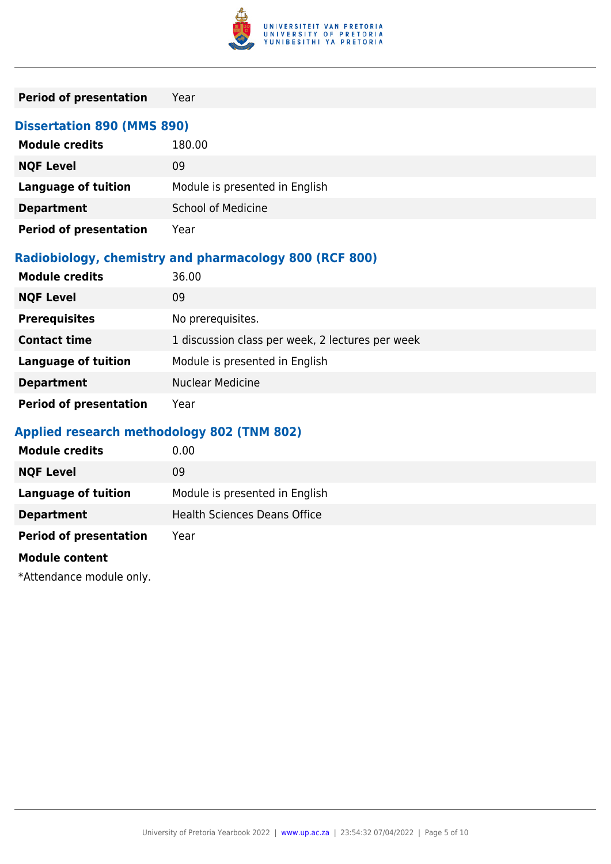

| <b>Period of presentation</b>                          | Year                                             |  |  |
|--------------------------------------------------------|--------------------------------------------------|--|--|
|                                                        | <b>Dissertation 890 (MMS 890)</b>                |  |  |
| <b>Module credits</b>                                  | 180.00                                           |  |  |
| <b>NQF Level</b>                                       | 09                                               |  |  |
| <b>Language of tuition</b>                             | Module is presented in English                   |  |  |
| <b>Department</b>                                      | <b>School of Medicine</b>                        |  |  |
| <b>Period of presentation</b>                          | Year                                             |  |  |
| Radiobiology, chemistry and pharmacology 800 (RCF 800) |                                                  |  |  |
| <b>Module credits</b>                                  | 36.00                                            |  |  |
| <b>NQF Level</b>                                       | 09                                               |  |  |
| <b>Prerequisites</b>                                   | No prerequisites.                                |  |  |
| <b>Contact time</b>                                    | 1 discussion class per week, 2 lectures per week |  |  |
| <b>Language of tuition</b>                             | Module is presented in English                   |  |  |
| <b>Department</b>                                      | <b>Nuclear Medicine</b>                          |  |  |
| <b>Period of presentation</b>                          | Year                                             |  |  |

## **Applied research methodology 802 (TNM 802)**

| <b>Module credits</b>         | 0.00                                |
|-------------------------------|-------------------------------------|
| <b>NQF Level</b>              | 09                                  |
| <b>Language of tuition</b>    | Module is presented in English      |
| <b>Department</b>             | <b>Health Sciences Deans Office</b> |
| <b>Period of presentation</b> | Year                                |
| <b>Module content</b>         |                                     |
| $*$                           |                                     |

\*Attendance module only.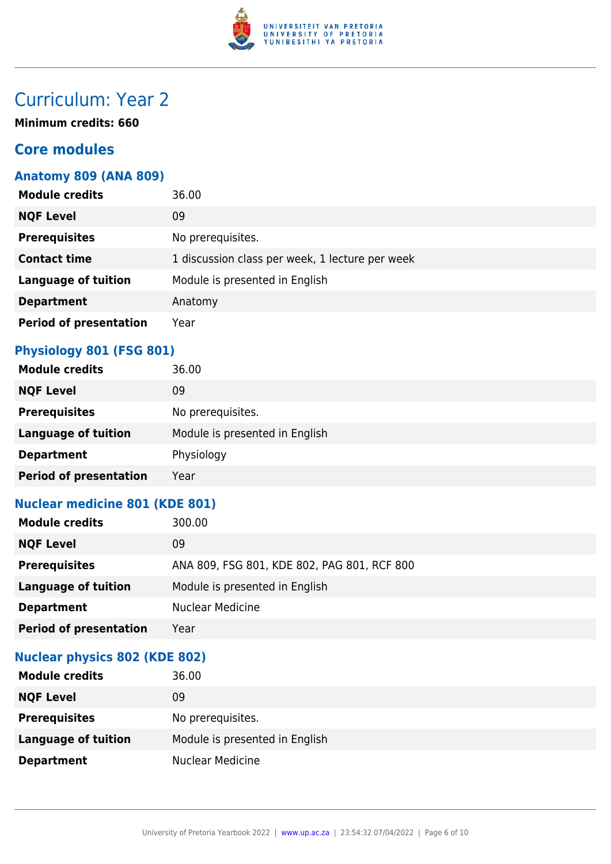

## Curriculum: Year 2

**Minimum credits: 660**

## **Core modules**

### **Anatomy 809 (ANA 809)**

| <b>Module credits</b>         | 36.00                                           |
|-------------------------------|-------------------------------------------------|
| <b>NQF Level</b>              | 09                                              |
| <b>Prerequisites</b>          | No prerequisites.                               |
| <b>Contact time</b>           | 1 discussion class per week, 1 lecture per week |
| <b>Language of tuition</b>    | Module is presented in English                  |
| <b>Department</b>             | Anatomy                                         |
| <b>Period of presentation</b> | Year                                            |

### **Physiology 801 (FSG 801)**

| <b>Module credits</b>         | 36.00                          |
|-------------------------------|--------------------------------|
| <b>NQF Level</b>              | 09                             |
| <b>Prerequisites</b>          | No prerequisites.              |
| <b>Language of tuition</b>    | Module is presented in English |
| <b>Department</b>             | Physiology                     |
| <b>Period of presentation</b> | Year                           |

### **Nuclear medicine 801 (KDE 801)**

| <b>Module credits</b>         | 300.00                                      |
|-------------------------------|---------------------------------------------|
| <b>NQF Level</b>              | 09                                          |
| <b>Prerequisites</b>          | ANA 809, FSG 801, KDE 802, PAG 801, RCF 800 |
| <b>Language of tuition</b>    | Module is presented in English              |
| <b>Department</b>             | <b>Nuclear Medicine</b>                     |
| <b>Period of presentation</b> | Year                                        |

### **Nuclear physics 802 (KDE 802)**

| <b>Module credits</b>      | 36.00                          |
|----------------------------|--------------------------------|
| <b>NQF Level</b>           | 09                             |
| <b>Prerequisites</b>       | No prerequisites.              |
| <b>Language of tuition</b> | Module is presented in English |
| <b>Department</b>          | <b>Nuclear Medicine</b>        |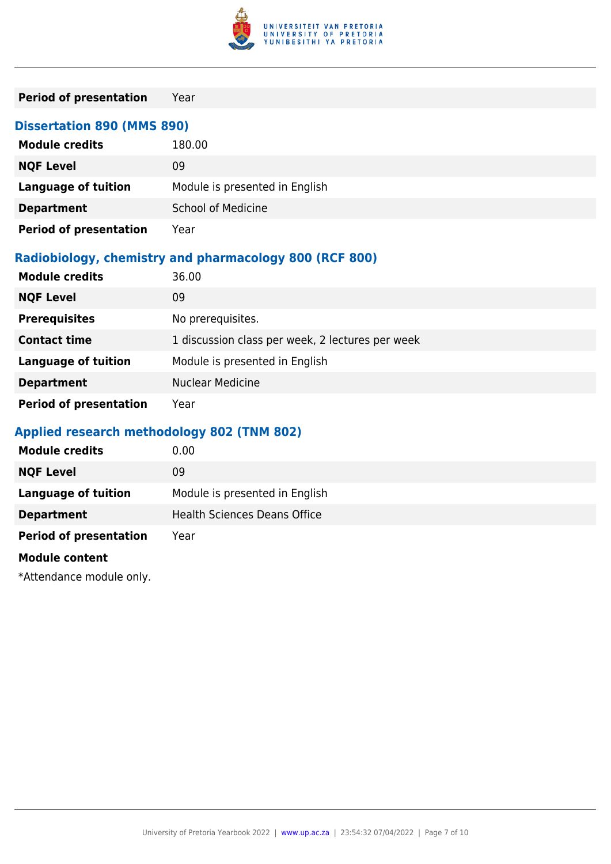

| <b>Period of presentation</b>                          | Year                                             |  |  |
|--------------------------------------------------------|--------------------------------------------------|--|--|
|                                                        | <b>Dissertation 890 (MMS 890)</b>                |  |  |
| <b>Module credits</b>                                  | 180.00                                           |  |  |
| <b>NQF Level</b>                                       | 09                                               |  |  |
| <b>Language of tuition</b>                             | Module is presented in English                   |  |  |
| <b>Department</b>                                      | <b>School of Medicine</b>                        |  |  |
| <b>Period of presentation</b>                          | Year                                             |  |  |
| Radiobiology, chemistry and pharmacology 800 (RCF 800) |                                                  |  |  |
| <b>Module credits</b>                                  | 36.00                                            |  |  |
| <b>NQF Level</b>                                       | 09                                               |  |  |
| <b>Prerequisites</b>                                   | No prerequisites.                                |  |  |
| <b>Contact time</b>                                    | 1 discussion class per week, 2 lectures per week |  |  |
| <b>Language of tuition</b>                             | Module is presented in English                   |  |  |
| <b>Department</b>                                      | <b>Nuclear Medicine</b>                          |  |  |
| <b>Period of presentation</b>                          | Year                                             |  |  |

## **Applied research methodology 802 (TNM 802)**

| <b>Module credits</b>         | 0.00                                |
|-------------------------------|-------------------------------------|
| <b>NQF Level</b>              | 09                                  |
| <b>Language of tuition</b>    | Module is presented in English      |
| <b>Department</b>             | <b>Health Sciences Deans Office</b> |
| <b>Period of presentation</b> | Year                                |
| <b>Module content</b>         |                                     |
| $*$                           |                                     |

\*Attendance module only.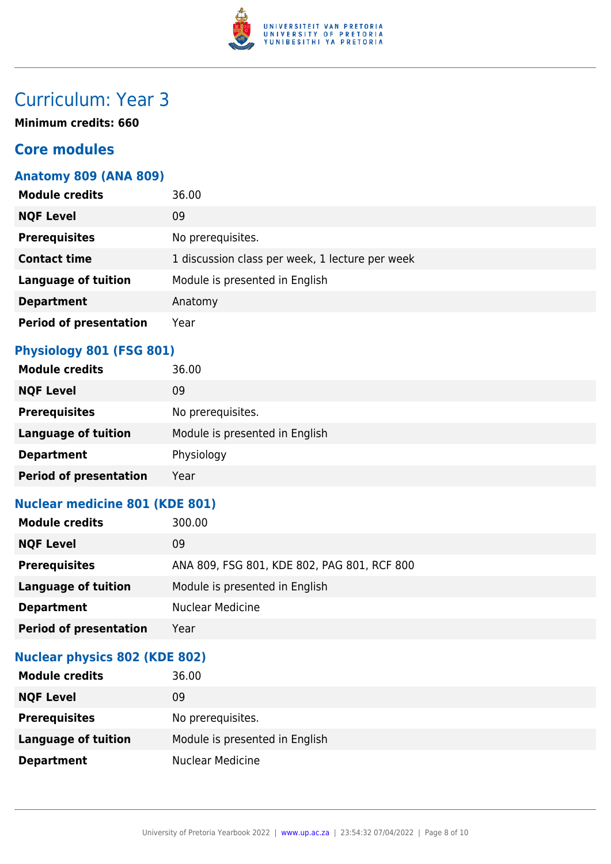

## Curriculum: Year 3

**Minimum credits: 660**

## **Core modules**

### **Anatomy 809 (ANA 809)**

| <b>Module credits</b>         | 36.00                                           |
|-------------------------------|-------------------------------------------------|
| <b>NQF Level</b>              | 09                                              |
| <b>Prerequisites</b>          | No prerequisites.                               |
| <b>Contact time</b>           | 1 discussion class per week, 1 lecture per week |
| <b>Language of tuition</b>    | Module is presented in English                  |
| <b>Department</b>             | Anatomy                                         |
| <b>Period of presentation</b> | Year                                            |

### **Physiology 801 (FSG 801)**

| <b>Module credits</b>         | 36.00                          |
|-------------------------------|--------------------------------|
| <b>NQF Level</b>              | 09                             |
| <b>Prerequisites</b>          | No prerequisites.              |
| <b>Language of tuition</b>    | Module is presented in English |
| <b>Department</b>             | Physiology                     |
| <b>Period of presentation</b> | Year                           |

### **Nuclear medicine 801 (KDE 801)**

| <b>Module credits</b>         | 300.00                                      |
|-------------------------------|---------------------------------------------|
| <b>NQF Level</b>              | 09                                          |
| <b>Prerequisites</b>          | ANA 809, FSG 801, KDE 802, PAG 801, RCF 800 |
| <b>Language of tuition</b>    | Module is presented in English              |
| <b>Department</b>             | <b>Nuclear Medicine</b>                     |
| <b>Period of presentation</b> | Year                                        |

### **Nuclear physics 802 (KDE 802)**

| <b>Module credits</b>      | 36.00                          |
|----------------------------|--------------------------------|
| <b>NQF Level</b>           | 09                             |
| <b>Prerequisites</b>       | No prerequisites.              |
| <b>Language of tuition</b> | Module is presented in English |
| <b>Department</b>          | <b>Nuclear Medicine</b>        |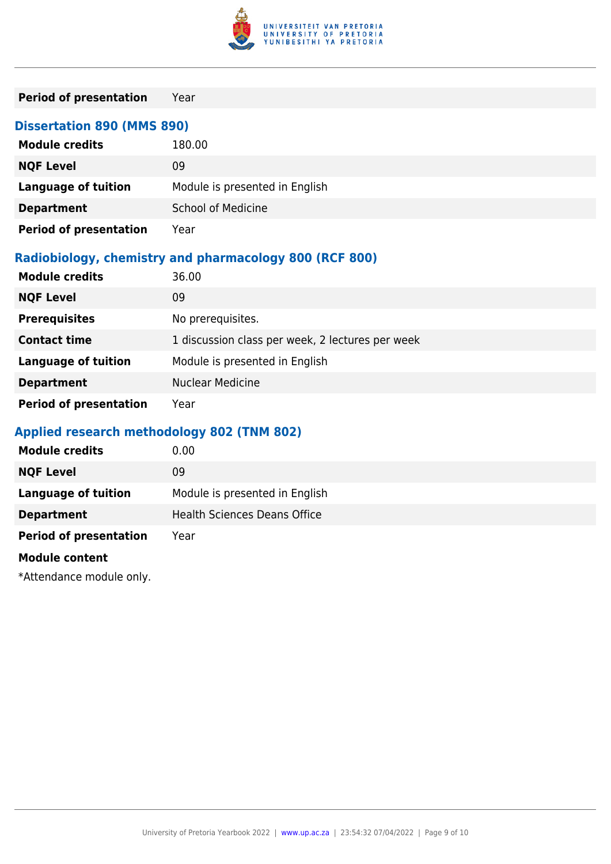

| <b>Period of presentation</b>                          | Year                                             |
|--------------------------------------------------------|--------------------------------------------------|
| <b>Dissertation 890 (MMS 890)</b>                      |                                                  |
| <b>Module credits</b>                                  | 180.00                                           |
| <b>NQF Level</b>                                       | 09                                               |
| <b>Language of tuition</b>                             | Module is presented in English                   |
| <b>Department</b>                                      | <b>School of Medicine</b>                        |
| <b>Period of presentation</b>                          | Year                                             |
| Radiobiology, chemistry and pharmacology 800 (RCF 800) |                                                  |
| <b>Module credits</b>                                  | 36.00                                            |
| <b>NQF Level</b>                                       | 09                                               |
| <b>Prerequisites</b>                                   | No prerequisites.                                |
| <b>Contact time</b>                                    | 1 discussion class per week, 2 lectures per week |
| <b>Language of tuition</b>                             | Module is presented in English                   |
| <b>Department</b>                                      | <b>Nuclear Medicine</b>                          |
| <b>Period of presentation</b>                          | Year                                             |

## **Applied research methodology 802 (TNM 802)**

| <b>Module credits</b>         | 0.00                                |
|-------------------------------|-------------------------------------|
| <b>NQF Level</b>              | 09                                  |
| <b>Language of tuition</b>    | Module is presented in English      |
| <b>Department</b>             | <b>Health Sciences Deans Office</b> |
| <b>Period of presentation</b> | Year                                |
| <b>Module content</b>         |                                     |
| $*$                           |                                     |

\*Attendance module only.